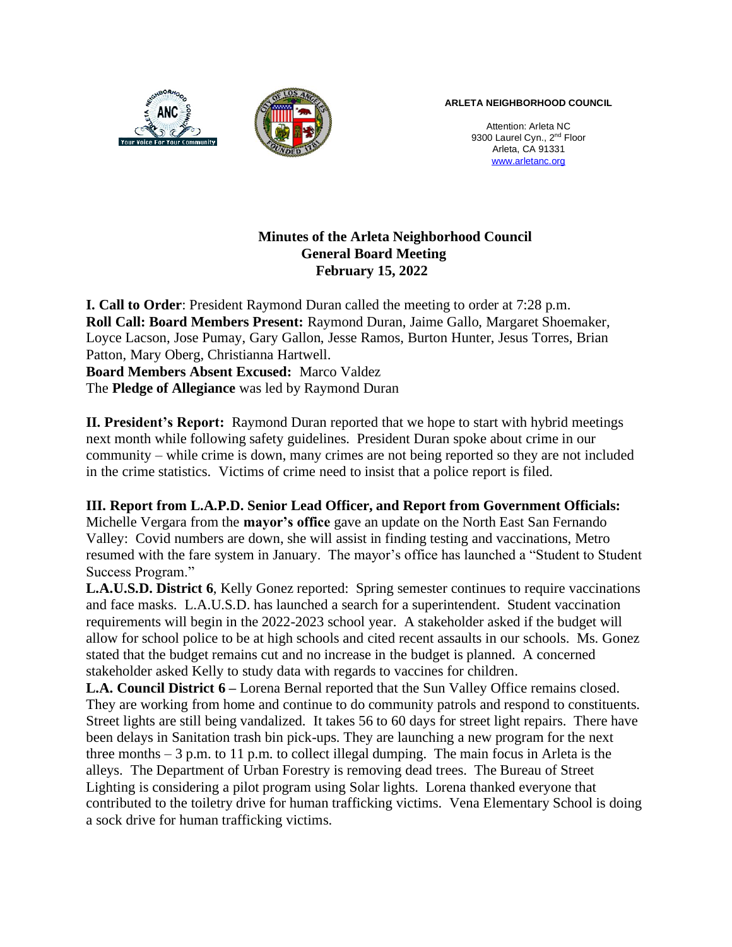

Attention: Arleta NC 9300 Laurel Cyn., 2<sup>nd</sup> Floor Arleta, CA 91331 [www.arletanc.org](http://www.arletanc.org/)

# **Minutes of the Arleta Neighborhood Council General Board Meeting February 15, 2022**

**I. Call to Order**: President Raymond Duran called the meeting to order at 7:28 p.m. **Roll Call: Board Members Present:** Raymond Duran, Jaime Gallo, Margaret Shoemaker, Loyce Lacson, Jose Pumay, Gary Gallon, Jesse Ramos, Burton Hunter, Jesus Torres, Brian Patton, Mary Oberg, Christianna Hartwell. **Board Members Absent Excused:** Marco Valdez The **Pledge of Allegiance** was led by Raymond Duran

**II. President's Report:** Raymond Duran reported that we hope to start with hybrid meetings next month while following safety guidelines. President Duran spoke about crime in our community – while crime is down, many crimes are not being reported so they are not included in the crime statistics. Victims of crime need to insist that a police report is filed.

## **III. Report from L.A.P.D. Senior Lead Officer, and Report from Government Officials:**

Michelle Vergara from the **mayor's office** gave an update on the North East San Fernando Valley: Covid numbers are down, she will assist in finding testing and vaccinations, Metro resumed with the fare system in January. The mayor's office has launched a "Student to Student Success Program."

**L.A.U.S.D. District 6**, Kelly Gonez reported: Spring semester continues to require vaccinations and face masks. L.A.U.S.D. has launched a search for a superintendent. Student vaccination requirements will begin in the 2022-2023 school year. A stakeholder asked if the budget will allow for school police to be at high schools and cited recent assaults in our schools. Ms. Gonez stated that the budget remains cut and no increase in the budget is planned. A concerned stakeholder asked Kelly to study data with regards to vaccines for children.

**L.A. Council District 6 –** Lorena Bernal reported that the Sun Valley Office remains closed. They are working from home and continue to do community patrols and respond to constituents. Street lights are still being vandalized. It takes 56 to 60 days for street light repairs. There have been delays in Sanitation trash bin pick-ups. They are launching a new program for the next three months  $-3$  p.m. to 11 p.m. to collect illegal dumping. The main focus in Arleta is the alleys. The Department of Urban Forestry is removing dead trees. The Bureau of Street Lighting is considering a pilot program using Solar lights. Lorena thanked everyone that contributed to the toiletry drive for human trafficking victims. Vena Elementary School is doing a sock drive for human trafficking victims.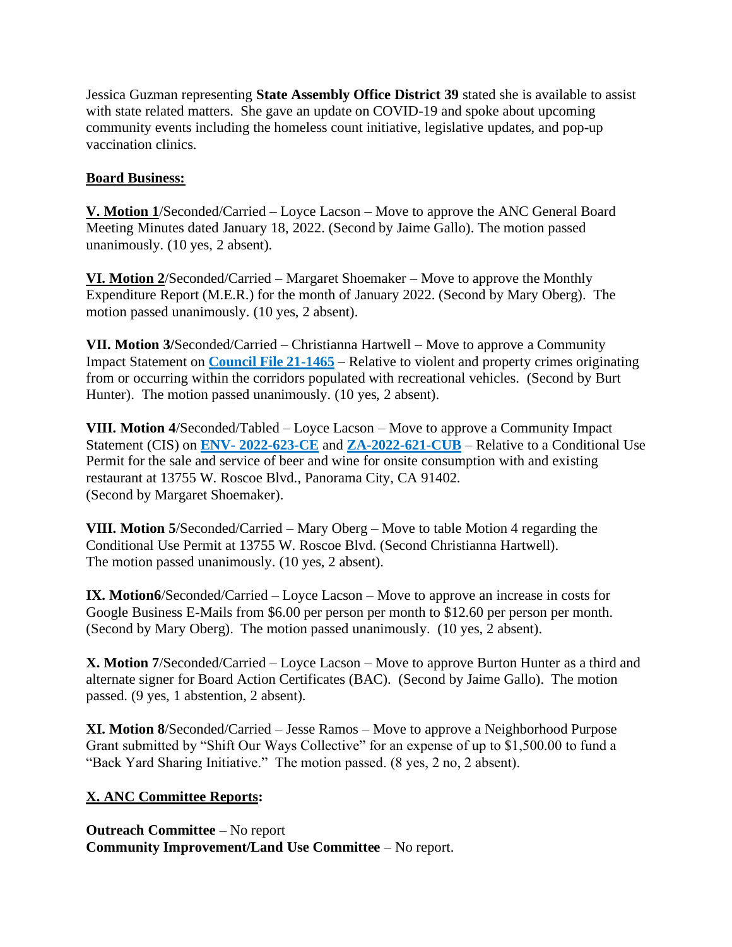Jessica Guzman representing **State Assembly Office District 39** stated she is available to assist with state related matters. She gave an update on COVID-19 and spoke about upcoming community events including the homeless count initiative, legislative updates, and pop-up vaccination clinics.

## **Board Business:**

**V. Motion 1**/Seconded/Carried – Loyce Lacson – Move to approve the ANC General Board Meeting Minutes dated January 18, 2022. (Second by Jaime Gallo). The motion passed unanimously. (10 yes, 2 absent).

**VI. Motion 2**/Seconded/Carried – Margaret Shoemaker – Move to approve the Monthly Expenditure Report (M.E.R.) for the month of January 2022. (Second by Mary Oberg). The motion passed unanimously. (10 yes, 2 absent).

**VII. Motion 3/**Seconded/Carried – Christianna Hartwell – Move to approve a Community Impact Statement on **Council File 21-1465** – Relative to violent and property crimes originating from or occurring within the corridors populated with recreational vehicles. (Second by Burt Hunter). The motion passed unanimously. (10 yes, 2 absent).

**VIII. Motion 4**/Seconded/Tabled – Loyce Lacson – Move to approve a Community Impact Statement (CIS) on **ENV- 2022-623-CE** and **ZA-2022-621-CUB** – Relative to a Conditional Use Permit for the sale and service of beer and wine for onsite consumption with and existing restaurant at 13755 W. Roscoe Blvd., Panorama City, CA 91402. (Second by Margaret Shoemaker).

**VIII. Motion 5**/Seconded/Carried – Mary Oberg – Move to table Motion 4 regarding the Conditional Use Permit at 13755 W. Roscoe Blvd. (Second Christianna Hartwell). The motion passed unanimously. (10 yes, 2 absent).

**IX. Motion6**/Seconded/Carried – Loyce Lacson – Move to approve an increase in costs for Google Business E-Mails from \$6.00 per person per month to \$12.60 per person per month. (Second by Mary Oberg). The motion passed unanimously. (10 yes, 2 absent).

**X. Motion 7**/Seconded/Carried – Loyce Lacson – Move to approve Burton Hunter as a third and alternate signer for Board Action Certificates (BAC). (Second by Jaime Gallo). The motion passed. (9 yes, 1 abstention, 2 absent).

**XI. Motion 8**/Seconded/Carried – Jesse Ramos – Move to approve a Neighborhood Purpose Grant submitted by "Shift Our Ways Collective" for an expense of up to \$1,500.00 to fund a "Back Yard Sharing Initiative." The motion passed. (8 yes, 2 no, 2 absent).

## **X. ANC Committee Reports:**

**Outreach Committee –** No report **Community Improvement/Land Use Committee** – No report.